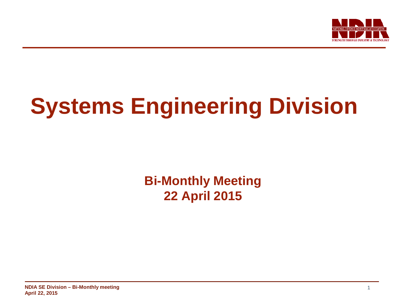

# **Systems Engineering Division**

**Bi-Monthly Meeting 22 April 2015**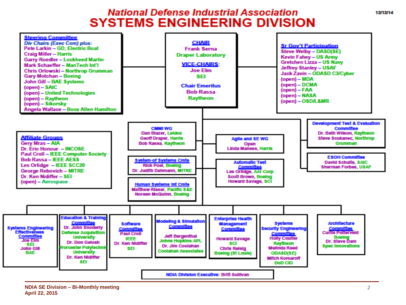#### **National Defense Industrial Association SYSTEMS ENGINEERING DIVISION**

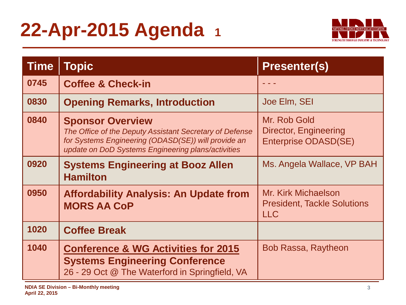### **22-Apr-2015 Agenda 1**



| <b>Time</b> | <b>Topic</b>                                                                                                                                                                                    | <b>Presenter(s)</b>                                                     |
|-------------|-------------------------------------------------------------------------------------------------------------------------------------------------------------------------------------------------|-------------------------------------------------------------------------|
| 0745        | <b>Coffee &amp; Check-in</b>                                                                                                                                                                    |                                                                         |
| 0830        | <b>Opening Remarks, Introduction</b>                                                                                                                                                            | Joe Elm, SEI                                                            |
| 0840        | <b>Sponsor Overview</b><br>The Office of the Deputy Assistant Secretary of Defense<br>for Systems Engineering (ODASD(SE)) will provide an<br>update on DoD Systems Engineering plans/activities | Mr. Rob Gold<br>Director, Engineering<br><b>Enterprise ODASD(SE)</b>    |
| 0920        | <b>Systems Engineering at Booz Allen</b><br><b>Hamilton</b>                                                                                                                                     | Ms. Angela Wallace, VP BAH                                              |
| 0950        | <b>Affordability Analysis: An Update from</b><br><b>MORS AA CoP</b>                                                                                                                             | Mr. Kirk Michaelson<br><b>President, Tackle Solutions</b><br><b>LLC</b> |
| 1020        | <b>Coffee Break</b>                                                                                                                                                                             |                                                                         |
| 1040        | <b>Conference &amp; WG Activities for 2015</b><br><b>Systems Engineering Conference</b><br>26 - 29 Oct @ The Waterford in Springfield, VA                                                       | Bob Rassa, Raytheon                                                     |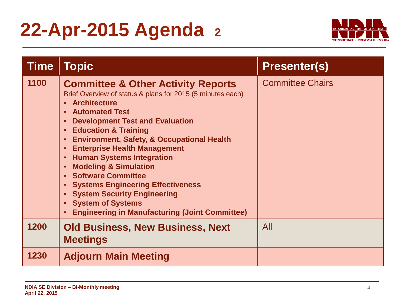## **22-Apr-2015 Agenda 2**



| <b>Time</b> | <b>Topic</b>                                                                                                                                                                                                                                                                                                                                                                                                                                                                                                                                                                                                                                                                     | <b>Presenter(s)</b>     |
|-------------|----------------------------------------------------------------------------------------------------------------------------------------------------------------------------------------------------------------------------------------------------------------------------------------------------------------------------------------------------------------------------------------------------------------------------------------------------------------------------------------------------------------------------------------------------------------------------------------------------------------------------------------------------------------------------------|-------------------------|
| 1100        | <b>Committee &amp; Other Activity Reports</b><br>Brief Overview of status & plans for 2015 (5 minutes each)<br><b>Architecture</b><br><b>Automated Test</b><br><b>Development Test and Evaluation</b><br><b>Education &amp; Training</b><br>$\bullet$<br><b>Environment, Safety, &amp; Occupational Health</b><br>$\bullet$<br><b>Enterprise Health Management</b><br>$\bullet$<br><b>Human Systems Integration</b><br>$\bullet$<br><b>Modeling &amp; Simulation</b><br>$\bullet$<br>• Software Committee<br><b>Systems Engineering Effectiveness</b><br><b>System Security Engineering</b><br><b>System of Systems</b><br><b>Engineering in Manufacturing (Joint Committee)</b> | <b>Committee Chairs</b> |
| 1200        | <b>Old Business, New Business, Next</b><br><b>Meetings</b>                                                                                                                                                                                                                                                                                                                                                                                                                                                                                                                                                                                                                       | All                     |
| 1230        | <b>Adjourn Main Meeting</b>                                                                                                                                                                                                                                                                                                                                                                                                                                                                                                                                                                                                                                                      |                         |